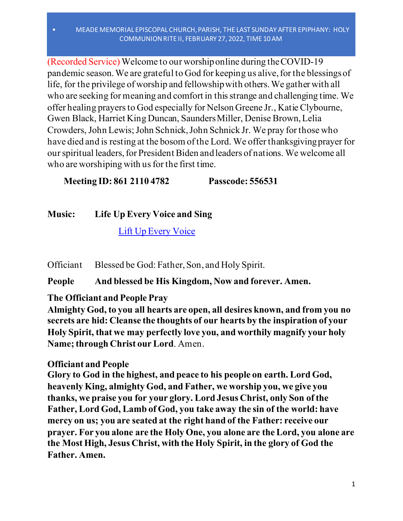(Recorded Service) Welcome to our worship online during the COVID-19 pandemic season. We are grateful to God for keeping us alive, for the blessings of life, for the privilege of worship and fellowship with others. We gather with all who are seeking for meaning and comfort in this strange and challenging time. We offer healing prayers to God especially for Nelson Greene Jr., Katie Clybourne, Gwen Black, Harriet King Duncan, Saunders Miller, Denise Brown, Lelia Crowders, John Lewis; John Schnick, John Schnick Jr. We pray for those who have died and is resting at the bosom of the Lord. We offer thanksgiving prayer for our spiritual leaders, for President Biden and leaders of nations. We welcome all who are worshiping with us for the first time.

 **Meeting ID: 861 2110 4782 Passcode: 556531**

# **Music: Life Up Every Voice and Sing**

[Lift Up Every Voice](https://www.youtube.com/watch?app=desktop&v=3SmrKLN-YwY&feature=emb_logo)

Officiant Blessed be God: Father, Son, and Holy Spirit.

**People And blessed be His Kingdom, Now and forever. Amen.**

#### **The Officiant and People Pray**

**Almighty God, to you all hearts are open, all desires known, and from you no secrets are hid: Cleanse the thoughts of our hearts by the inspiration of your Holy Spirit, that we may perfectly love you, and worthily magnify your holy Name; through Christ our Lord**. Amen.

#### **Officiant and People**

**Glory to God in the highest, and peace to his people on earth. Lord God, heavenly King, almighty God, and Father, we worship you, we give you thanks, we praise you for your glory. Lord Jesus Christ, only Son of the Father, Lord God, Lamb of God, you take away the sin of the world: have mercy on us; you are seated at the right hand of the Father: receive our prayer. For you alone are the Holy One, you alone are the Lord, you alone are the Most High, Jesus Christ, with the Holy Spirit, in the glory of God the Father. Amen.**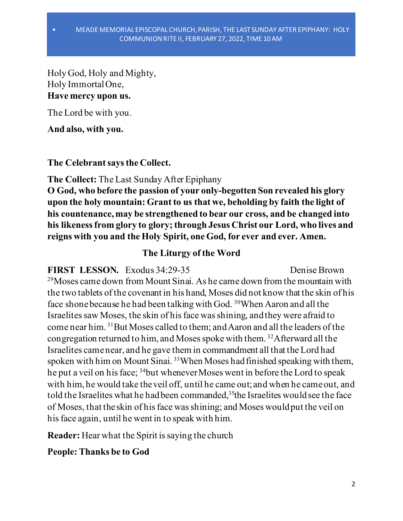Holy God, Holy and Mighty, Holy Immortal One, **Have mercy upon us.**

The Lord be with you.

**And also, with you.**

**The Celebrant says the Collect.**

**The Collect:** The Last Sunday After Epiphany

**O God, who before the passion of your only-begotten Son revealed his glory upon the holy mountain: Grant to us that we, beholding by faith the light of his countenance, may be strengthened to bear our cross, and be changed into his likeness from glory to glory; through Jesus Christ our Lord, who lives and reigns with you and the Holy Spirit, one God, for ever and ever. Amen.**

### **The Liturgy of the Word**

**FIRST LESSON.** Exodus 34:29-35 Denise Brown <sup>29</sup>Moses came down from Mount Sinai. As he came down from the mountain with the two tablets of the covenant in his hand, Moses did not know that the skin of his face shone because he had been talking with God. 30When Aaron and all the Israelites saw Moses, the skin of his face was shining, and they were afraid to come near him. 31But Moses called to them; and Aaron and all the leaders of the congregation returned to him, and Moses spoke with them. 32Afterward all the Israelites came near, and he gave them in commandment all that the Lord had spoken with him on Mount Sinai.<sup>33</sup>When Moses had finished speaking with them, he put a veil on his face; 34but whenever Moses went in before the Lord to speak with him, he would take the veil off, until he came out; and when he came out, and told the Israelites what he had been commanded,<sup>35</sup>the Israelites would see the face of Moses, that the skin of his face was shining; and Moses would put the veil on his face again, until he went in to speak with him.

**Reader:** Hear what the Spirit is saying the church

# **People: Thanks be to God**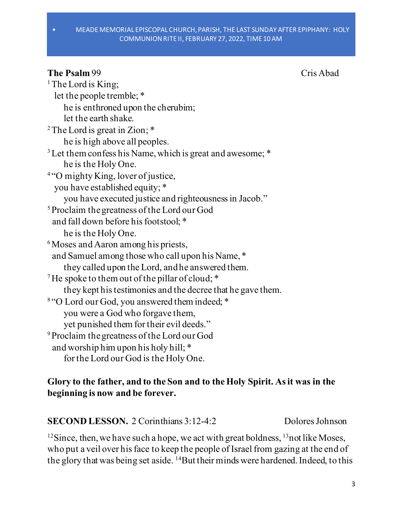#### **The Psalm** 99 **Cris** Abad

<sup>1</sup> The Lord is King; let the people tremble; \* he is enthroned upon the cherubim; let the earth shake. 2 The Lord is great in Zion; \* he is high above all peoples. <sup>3</sup> Let them confess his Name, which is great and awesome; \* he is the Holy One. 4 "O mighty King, lover of justice, you have established equity; \* you have executed justice and righteousness in Jacob." 5 Proclaim the greatness of the Lord our God and fall down before his footstool; \* he is the Holy One. <sup>6</sup> Moses and Aaron among his priests, and Samuel among those who call upon his Name, \* they called upon the Lord, and he answered them. <sup>7</sup> He spoke to them out of the pillar of cloud;  $*$  they kept his testimonies and the decree that he gave them. 8 "O Lord our God, you answered them indeed; \* you were a God who forgave them, yet punished them for their evil deeds." 9 Proclaim the greatness of the Lord our God and worship him upon his holy hill; \* for the Lord our God is the Holy One.

#### **Glory to the father, and to the Son and to the Holy Spirit. As it was in the beginning is now and be forever.**

**SECOND LESSON.** 2 Corinthians 3:12-4:2 Dolores Johnson

<sup>12</sup>Since, then, we have such a hope, we act with great boldness,  $\frac{13}{12}$  not like Moses, who put a veil over his face to keep the people of Israel from gazing at the end of the glory that was being set aside. 14But their minds were hardened. Indeed, to this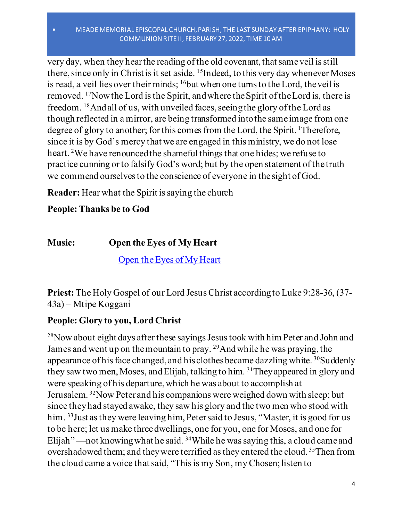very day, when they hear the reading of the old covenant, that same veil is still there, since only in Christ is it set aside. 15Indeed, to this very day whenever Moses is read, a veil lies over their minds;  $16$  but when one turns to the Lord, the veil is removed. 17Now the Lord is the Spirit, and where the Spirit of the Lord is, there is freedom. 18And all of us, with unveiled faces, seeing the glory of the Lord as though reflected in a mirror, are being transformed into the same image from one degree of glory to another; for this comes from the Lord, the Spirit. <sup>1</sup>Therefore, since it is by God's mercy that we are engaged in this ministry, we do not lose heart. <sup>2</sup>We have renounced the shameful things that one hides; we refuse to practice cunning or to falsify God's word; but by the open statement of the truth we commend ourselves to the conscience of everyone in the sight of God.

**Reader:** Hear what the Spirit is saying the church

# **People: Thanks be to God**

# **Music: Open the Eyes of My Heart**

[Open the Eyes of My Heart](https://www.youtube.com/watch?v=e53oK8USWlY)

**Priest:** The Holy Gospel of our Lord Jesus Christ according to Luke 9:28-36, (37- 43a) – Mtipe Koggani

# **People: Glory to you, Lord Christ**

<sup>28</sup>Now about eight days after these sayings Jesus took with him Peter and John and James and went up on the mountain to pray. 29And while he was praying, the appearance of his face changed, and his clothes became dazzling white. 30Suddenly they saw two men, Moses, and Elijah, talking to him. 31They appeared in glory and were speaking of his departure, which he was about to accomplish at Jerusalem. 32Now Peter and his companions were weighed down with sleep; but since they had stayed awake, they saw his glory and the two men who stood with him. <sup>33</sup> Just as they were leaving him, Peter said to Jesus, "Master, it is good for us to be here; let us make three dwellings, one for you, one for Moses, and one for Elijah" —not knowing what he said. 34While he was saying this, a cloud came and overshadowed them; and they were terrified as they entered the cloud. 35Then from the cloud came a voice that said, "This is my Son, my Chosen; listen to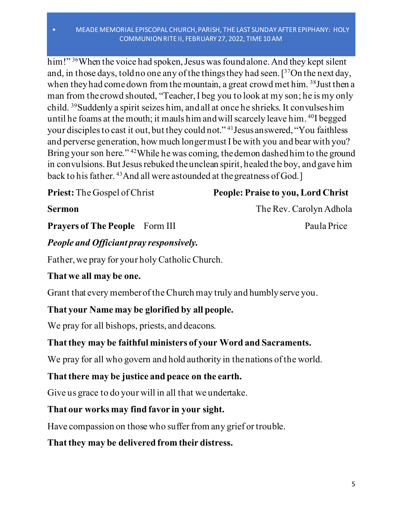him!"<sup>36</sup>When the voice had spoken, Jesus was found alone. And they kept silent and, in those days, told no one any of the things they had seen. [37On the next day, when they had come down from the mountain, a great crowd met him. <sup>38</sup> Just then a man from the crowd shouted, "Teacher, I beg you to look at my son; he is my only child. 39Suddenly a spirit seizes him, and all at once he shrieks. It convulses him until he foams at the mouth; it mauls him and will scarcely leave him. 40I begged your disciples to cast it out, but they could not." 41Jesus answered, "You faithless and perverse generation, how much longer must I be with you and bear with you? Bring your son here."<sup>42</sup>While he was coming, the demon dashed him to the ground in convulsions. But Jesus rebuked the unclean spirit, healed the boy, and gave him back to his father. <sup>43</sup>And all were astounded at the greatness of God.]

### **Priest:** The Gospel of Christ **People: Praise to you, Lord Christ**

**Sermon** The Rev. Carolyn Adhola

**Prayers of The People** Form III Paula Price

# *People and Officiant pray responsively.*

Father, we pray for your holy Catholic Church.

# **That we all may be one.**

Grant that every member of the Church may truly and humbly serve you.

# **That your Name may be glorified by all people.**

We pray for all bishops, priests, and deacons.

# **That they may be faithful ministers of your Word and Sacraments.**

We pray for all who govern and hold authority in the nations of the world.

# **That there may be justice and peace on the earth.**

Give us grace to do your will in all that we undertake.

# **That our works may find favor in your sight.**

Have compassion on those who suffer from any grief or trouble.

**That they may be delivered from their distress.**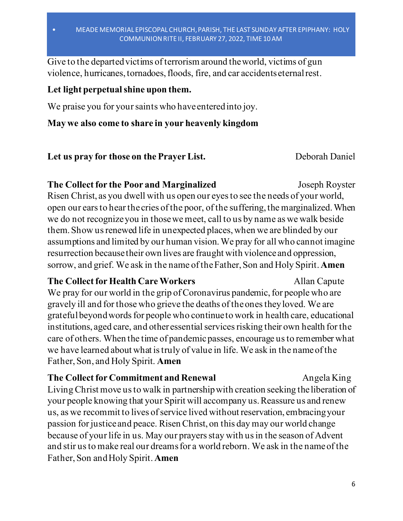Give to the departed victims of terrorism around the world, victims of gun violence, hurricanes, tornadoes, floods, fire, and car accidents eternalrest.

#### **Let light perpetual shine upon them.**

We praise you for your saints who have entered into joy.

**May we also come to share in your heavenly kingdom**

**Let us pray for those on the Prayer List.**Deborah Daniel

#### **The Collect for the Poor and Marginalized** Joseph Royster

Risen Christ, as you dwell with us open our eyes to see the needs of your world, open our ears to hear the cries of the poor, of the suffering, the marginalized.When we do not recognize you in those we meet, call to us by name as we walk beside them.Show us renewed life in unexpected places,when we are blinded by our assumptions and limited by our human vision.We pray for all who cannot imagine resurrection because their own lives are fraught with violence and oppression, sorrow, and grief. We ask in the name of the Father, Son and Holy Spirit. **Amen**

# **The Collect for Health Care Workers Allan Capute Allan Capute**

We pray for our world in the grip of Coronavirus pandemic, for people who are gravely ill and for those who grieve the deaths of the ones they loved. We are grateful beyond words for people who continue to work in health care, educational institutions, aged care, and other essential services risking their own health for the care of others. When the time of pandemic passes, encourage us to remember what we have learned about what is truly of value in life. We ask in the name of the Father, Son, and Holy Spirit. **Amen**

# **The Collect for Commitment and Renewal** *Angela King* Living Christ move us to walk in partnership with creation seeking the liberation of your people knowing that your Spirit will accompany us. Reassure us and renew us, as we recommit to lives of service lived without reservation, embracing your passion for justice and peace. Risen Christ, on this day may our world change because of your life in us. May our prayers stay with us in the season of Advent

and stir us to make real our dreamsfor a world reborn. We ask in the name of the Father, Son and Holy Spirit.**Amen**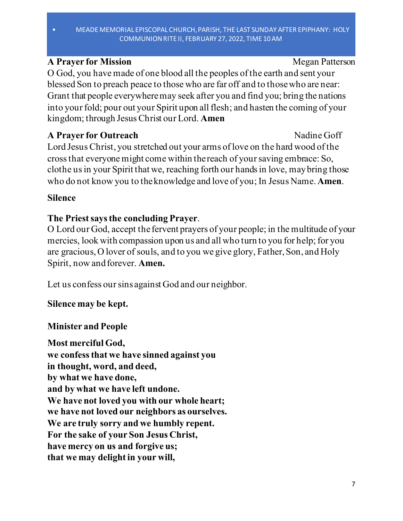# **A Prayer for Mission** Megan Patterson

O God, you have made of one blood all the peoples of the earth and sent your blessed Son to preach peace to those who are far off and to those who are near: Grant that people everywhere may seek after you and find you; bring the nations into your fold; pour out your Spirit upon all flesh; and hasten the coming of your kingdom; through Jesus Christ our Lord. **Amen**

# **A Prayer for Outreach**  Nadine Goff

Lord Jesus Christ, you stretched out your arms of love on the hard wood of the cross that everyone might come within the reach of your saving embrace: So, clothe us in your Spirit that we, reaching forth our hands in love, may bring those who do not know you to the knowledge and love of you; In Jesus Name.**Amen**.

# **Silence**

# **The Priestsaysthe concluding Prayer**.

O Lord our God, accept the fervent prayers of your people; in the multitude of your mercies, look with compassion upon us and all who turn to you for help; for you are gracious, O lover of souls, and to you we give glory, Father, Son, and Holy Spirit, now and forever. **Amen.**

Let us confess our sins against God and our neighbor.

**Silence may be kept.**

**Minister and People**

**Most merciful God, we confess that we have sinned against you in thought, word, and deed, by what we have done, and by what we have left undone. We have not loved you with our whole heart; we have not loved our neighbors as ourselves. We are truly sorry and we humbly repent. For the sake of your Son Jesus Christ, have mercy on us and forgive us; that we may delight in your will,**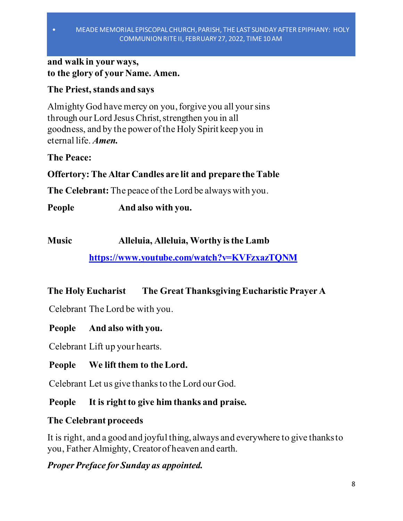# **and walk in your ways, to the glory of your Name. Amen.**

# **The Priest, stands and says**

Almighty God have mercy on you, forgive you all your sins through our Lord Jesus Christ, strengthen you in all goodness, and by the power of the Holy Spirit keep you in eternal life. *Amen.*

#### **The Peace:**

# **Offertory: The Altar Candles are lit and prepare the Table**

**The Celebrant:** The peace of the Lord be always with you.

**People And also with you.**

# **Music Alleluia, Alleluia, Worthy is the Lamb**

 **<https://www.youtube.com/watch?v=KVFzxazTQNM>**

# **The Holy Eucharist The Great ThanksgivingEucharistic Prayer A**

Celebrant The Lord be with you.

**People And also with you.**

Celebrant Lift up your hearts.

# **People We lift them to the Lord.**

Celebrant Let us give thanks to the Lord our God.

**People It is right to give him thanks and praise.**

# **The Celebrant proceeds**

It is right, and a good and joyful thing, always and everywhere to give thanks to you, Father Almighty, Creator of heaven and earth.

# *Proper Preface for Sunday as appointed.*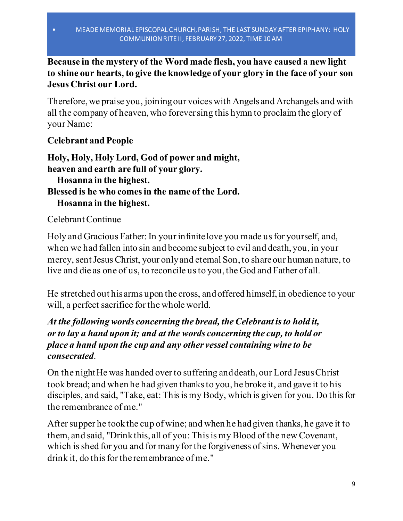# **Because in the mystery of the Word made flesh, you have caused a new light to shine our hearts, to give the knowledge of your glory in the face of your son Jesus Christ our Lord.**

Therefore, we praise you, joining our voices with Angels and Archangels and with all the company of heaven, who forever sing this hymn to proclaim the glory of your Name:

# **Celebrant and People**

**Holy, Holy, Holy Lord, God of power and might, heaven and earth are full of your glory. Hosanna in the highest. Blessed is he who comes in the name of the Lord. Hosanna in the highest.**

Celebrant Continue

Holy and Gracious Father: In your infinite love you made us for yourself, and, when we had fallen into sin and become subject to evil and death, you, in your mercy, sent Jesus Christ, your only and eternal Son, to share our human nature, to live and die as one of us, to reconcile us to you, the God and Father of all.

He stretched out his arms upon the cross, and offered himself, in obedience to your will, a perfect sacrifice for the whole world.

# *At the following words concerning the bread, the Celebrant is to hold it, or to lay a hand upon it; and at the words concerning the cup, to hold or place a hand upon the cup and any other vessel containing wine to be consecrated*.

On the night He was handed over to suffering and death, our Lord Jesus Christ took bread; and when he had given thanks to you, he broke it, and gave it to his disciples, and said, "Take, eat: This is my Body, which is given for you. Do this for the remembrance of me."

After supper he took the cup of wine; and when he had given thanks, he gave it to them, and said, "Drink this, all of you: This is my Blood of the new Covenant, which is shed for you and for many for the forgiveness of sins. Whenever you drink it, do this for the remembrance of me."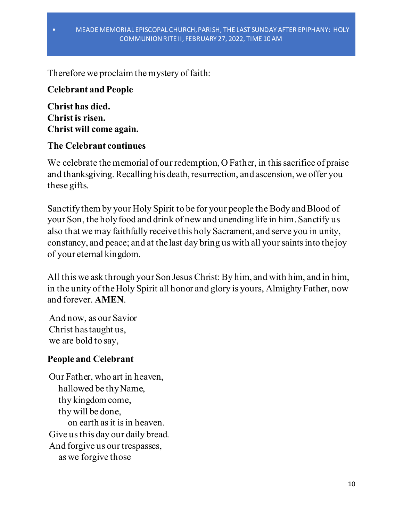Therefore we proclaim the mystery of faith:

# **Celebrant and People**

**Christ has died. Christ is risen. Christ will come again.**

### **The Celebrant continues**

We celebrate the memorial of our redemption, O Father, in this sacrifice of praise and thanksgiving. Recalling his death, resurrection, and ascension, we offer you these gifts.

Sanctify them by your Holy Spirit to be for your people the Body and Blood of your Son, the holy food and drink of new and unending life in him. Sanctify us also that we may faithfully receive this holy Sacrament, and serve you in unity, constancy, and peace; and at the last day bring us with all your saints into the joy of your eternal kingdom.

All this we ask through your Son Jesus Christ: By him, and with him, and in him, in the unity of the Holy Spirit all honor and glory is yours, Almighty Father, now and forever. **AMEN**.

And now, as our Savior Christ has taught us, we are bold to say,

#### **People and Celebrant**

Our Father, who art in heaven, hallowed be thy Name, thy kingdom come, thy will be done, on earth as it is in heaven. Give us this day our daily bread. And forgive us our trespasses, as we forgive those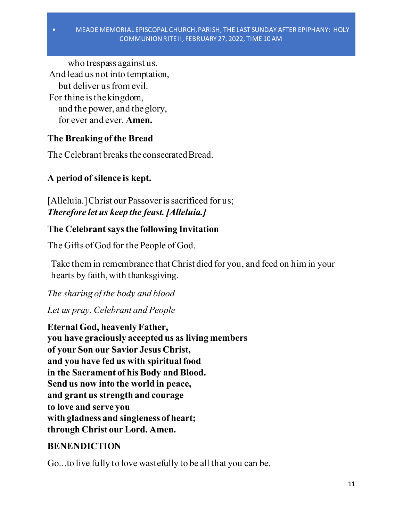who trespass against us. And lead us not into temptation, but deliver us from evil. For thine is the kingdom, and the power, and the glory, for ever and ever. **Amen.**

# **The Breaking of the Bread**

The Celebrant breaks the consecrated Bread.

#### **A period of silence is kept.**

[Alleluia.] Christ our Passover is sacrificed for us; *Therefore let us keep the feast. [Alleluia.]*

### **The Celebrant says the following Invitation**

The Gifts of God for the People of God.

Take them in remembrance that Christ died for you, and feed on him in your hearts by faith, with thanksgiving.

#### *The sharing of the body and blood*

#### *Let us pray. Celebrant and People*

**Eternal God, heavenly Father, you have graciously accepted us as living members of your Son our Savior Jesus Christ, and you have fed us with spiritual food in the Sacrament of his Body and Blood. Send us now into the world in peace, and grant us strength and courage to love and serve you with gladness and singleness of heart; through Christ our Lord. Amen.**

#### **BENENDICTION**

Go...to live fully to love wastefully to be all that you can be.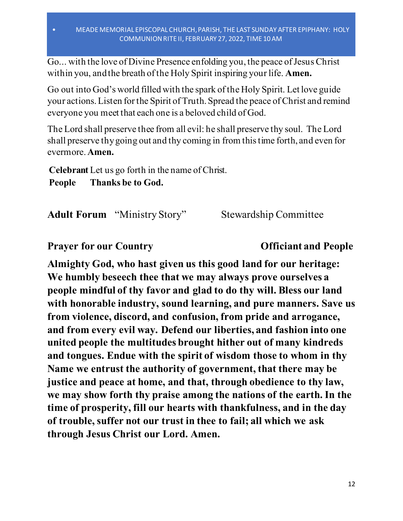Go... with the love of Divine Presence enfolding you, the peace of Jesus Christ within you, and the breath of the Holy Spirit inspiring your life. **Amen.**

Go out into God's world filled with the spark of the Holy Spirit. Let love guide your actions. Listen for the Spirit of Truth. Spread the peace of Christ and remind everyone you meet that each one is a beloved child of God.

The Lord shall preserve thee from all evil: he shall preserve thy soul. The Lord shall preserve thy going out and thy coming in from this time forth, and even for evermore.**Amen.**

**Celebrant** Let us go forth in the name of Christ. **People Thanks be to God.**

Adult Forum "Ministry Story" Stewardship Committee

### **Prayer for our Country County County County County County County County County County County County County County County County County County County County County County County County County County County County County Co**

**Almighty God, who hast given us this good land for our heritage: We humbly beseech thee that we may always prove ourselves a people mindful of thy favor and glad to do thy will. Bless our land with honorable industry, sound learning, and pure manners. Save us from violence, discord, and confusion, from pride and arrogance, and from every evil way. Defend our liberties, and fashion into one united people the multitudes brought hither out of many kindreds and tongues. Endue with the spirit of wisdom those to whom in thy Name we entrust the authority of government, that there may be justice and peace at home, and that, through obedience to thy law, we may show forth thy praise among the nations of the earth. In the time of prosperity, fill our hearts with thankfulness, and in the day of trouble, suffer not our trust in thee to fail; all which we ask through Jesus Christ our Lord. Amen.**